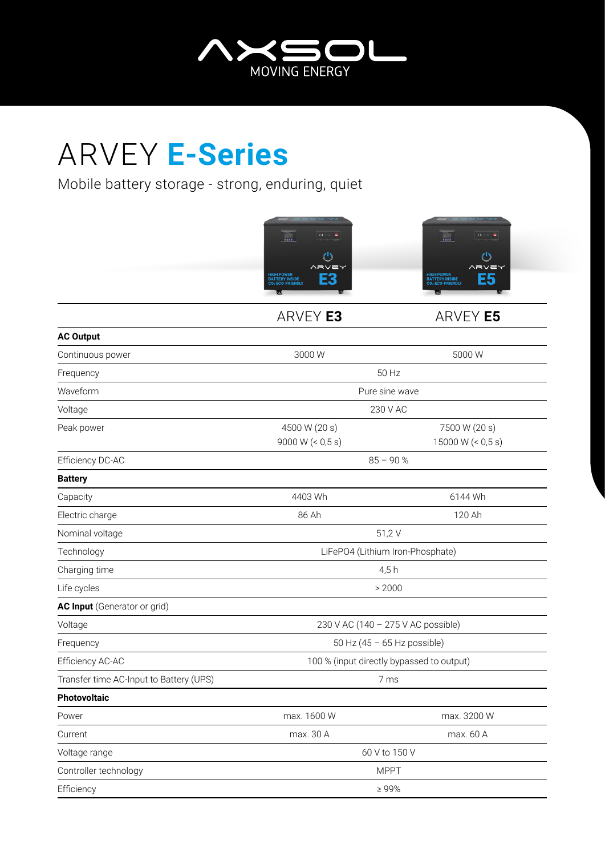

## ARVEY **E-Series**

Mobile battery storage - strong, enduring, quiet



ARVEY **E3** ARVEY **E5**

| <b>AC Output</b>                        |                                           |                      |
|-----------------------------------------|-------------------------------------------|----------------------|
| Continuous power                        | 3000W                                     | 5000 W               |
| Frequency                               | 50 Hz                                     |                      |
| Waveform                                | Pure sine wave                            |                      |
| Voltage                                 | 230 V AC                                  |                      |
| Peak power                              | 4500 W (20 s)                             | 7500 W (20 s)        |
|                                         | 9000 W $(< 0.5 s)$                        | 15000 W $($ < 0,5 s) |
| Efficiency DC-AC                        | $85 - 90%$                                |                      |
| <b>Battery</b>                          |                                           |                      |
| Capacity                                | 4403 Wh                                   | 6144 Wh              |
| Electric charge                         | 86 Ah                                     | 120 Ah               |
| Nominal voltage                         | 51,2V                                     |                      |
| Technology                              | LiFePO4 (Lithium Iron-Phosphate)          |                      |
| Charging time                           | 4,5h                                      |                      |
| Life cycles                             | > 2000                                    |                      |
| <b>AC Input</b> (Generator or grid)     |                                           |                      |
| Voltage                                 | 230 V AC (140 - 275 V AC possible)        |                      |
| Frequency                               | 50 Hz $(45 - 65$ Hz possible)             |                      |
| Efficiency AC-AC                        | 100 % (input directly bypassed to output) |                      |
| Transfer time AC-Input to Battery (UPS) | 7 ms                                      |                      |
| <b>Photovoltaic</b>                     |                                           |                      |
| Power                                   | max. 1600 W                               | max. 3200 W          |
| Current                                 | max. 30 A                                 | max. 60 A            |
| Voltage range                           | 60 V to 150 V                             |                      |
| Controller technology                   | <b>MPPT</b>                               |                      |
| Efficiency                              | $\geq 99\%$                               |                      |